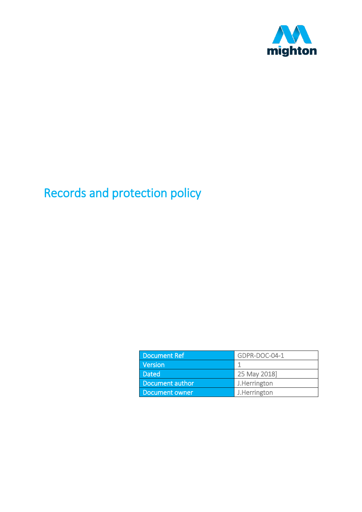

# Records and protection policy

| <b>Document Ref</b> | GDPR-DOC-04-1 |
|---------------------|---------------|
| Version             |               |
| <b>Dated</b>        | 25 May 2018]  |
| Document author     | J.Herrington  |
| Document owner      | J.Herrington  |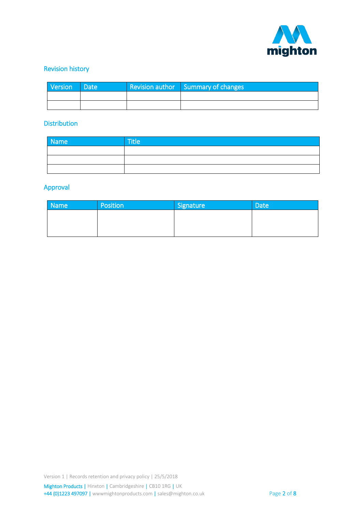

## Revision history

| Version | <b>Date</b> | <b>Revision author</b> Summary of changes |
|---------|-------------|-------------------------------------------|
|         |             |                                           |
|         |             |                                           |

#### **Distribution**

| Name | <b>Title</b> |
|------|--------------|
|      |              |
|      |              |
|      |              |

#### Approval

| <b>Name</b> | Position | Signature | <b>Date</b> |
|-------------|----------|-----------|-------------|
|             |          |           |             |
|             |          |           |             |
|             |          |           |             |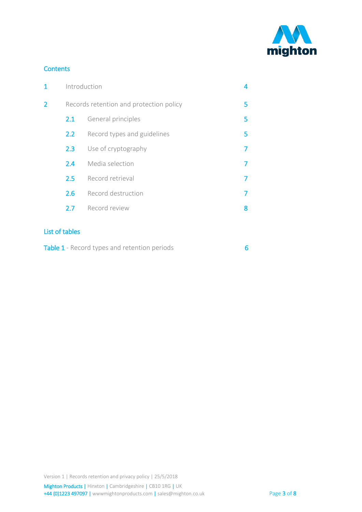

#### **Contents**

| 1 | Introduction |                                         | 4 |
|---|--------------|-----------------------------------------|---|
| 2 |              | Records retention and protection policy | 5 |
|   | 2.1          | General principles                      | 5 |
|   | 2.2          | Record types and guidelines             | 5 |
|   | 2.3          | Use of cryptography                     |   |
|   | 2.4          | Media selection                         |   |
|   | 2.5          | Record retrieval                        |   |
|   | 2.6          | Record destruction                      |   |
|   | 2.7          | Record review                           | 8 |
|   |              |                                         |   |

## List of tables

| Table 1 - Record types and retention periods |  |
|----------------------------------------------|--|
|----------------------------------------------|--|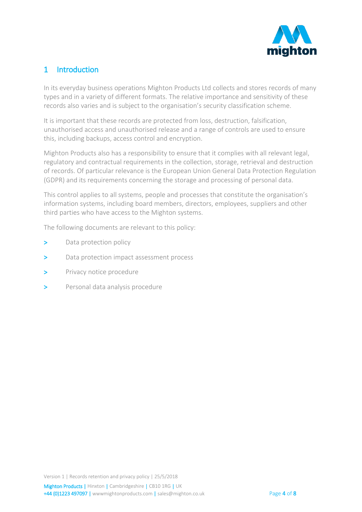

# <span id="page-3-0"></span>1 Introduction

In its everyday business operations Mighton Products Ltd collects and stores records of many types and in a variety of different formats. The relative importance and sensitivity of these records also varies and is subject to the organisation's security classification scheme.

It is important that these records are protected from loss, destruction, falsification, unauthorised access and unauthorised release and a range of controls are used to ensure this, including backups, access control and encryption.

Mighton Products also has a responsibility to ensure that it complies with all relevant legal, regulatory and contractual requirements in the collection, storage, retrieval and destruction of records. Of particular relevance is the European Union General Data Protection Regulation (GDPR) and its requirements concerning the storage and processing of personal data.

This control applies to all systems, people and processes that constitute the organisation's information systems, including board members, directors, employees, suppliers and other third parties who have access to the Mighton systems.

The following documents are relevant to this policy:

- > Data protection policy
- > Data protection impact assessment process
- > Privacy notice procedure
- > Personal data analysis procedure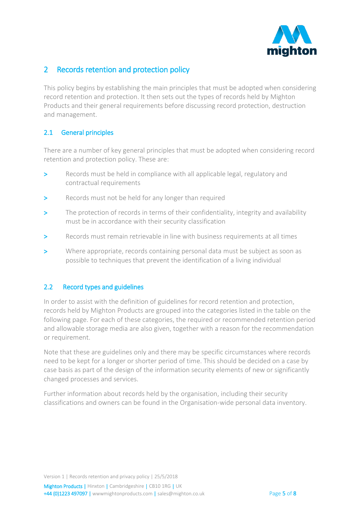

# <span id="page-4-0"></span>2 Records retention and protection policy

This policy begins by establishing the main principles that must be adopted when considering record retention and protection. It then sets out the types of records held by Mighton Products and their general requirements before discussing record protection, destruction and management.

## <span id="page-4-1"></span>2.1 General principles

There are a number of key general principles that must be adopted when considering record retention and protection policy. These are:

- Records must be held in compliance with all applicable legal, regulatory and contractual requirements
- > Records must not be held for any longer than required
- > The protection of records in terms of their confidentiality, integrity and availability must be in accordance with their security classification
- > Records must remain retrievable in line with business requirements at all times
- > Where appropriate, records containing personal data must be subject as soon as possible to techniques that prevent the identification of a living individual

#### <span id="page-4-2"></span>2.2 Record types and guidelines

In order to assist with the definition of guidelines for record retention and protection, records held by Mighton Products are grouped into the categories listed in the table on the following page. For each of these categories, the required or recommended retention period and allowable storage media are also given, together with a reason for the recommendation or requirement.

Note that these are guidelines only and there may be specific circumstances where records need to be kept for a longer or shorter period of time. This should be decided on a case by case basis as part of the design of the information security elements of new or significantly changed processes and services.

Further information about records held by the organisation, including their security classifications and owners can be found in the Organisation-wide personal data inventory.

Version 1 | Records retention and privacy policy | 25/5/2018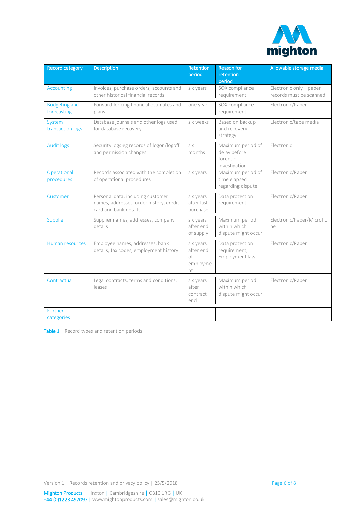

| Record category                     | <b>Description</b>                                                                                    | <b>Retention</b><br>period                     | <b>Reason for</b><br>retention<br>period                       | Allowable storage media                            |
|-------------------------------------|-------------------------------------------------------------------------------------------------------|------------------------------------------------|----------------------------------------------------------------|----------------------------------------------------|
| <b>Accounting</b>                   | Invoices, purchase orders, accounts and<br>other historical financial records                         | six years                                      | SOX compliance<br>requirement                                  | Electronic only - paper<br>records must be scanned |
| <b>Budgeting and</b><br>forecasting | Forward-looking financial estimates and<br>plans                                                      | one year                                       | SOX compliance<br>requirement                                  | Electronic/Paper                                   |
| System<br>transaction logs          | Database journals and other logs used<br>for database recovery                                        | six weeks                                      | Based on backup<br>and recovery<br>strategy                    | Electronic/tape media                              |
| <b>Audit logs</b>                   | Security logs eg records of logon/logoff<br>and permission changes                                    | six<br>months                                  | Maximum period of<br>delay before<br>forensic<br>investigation | Electronic                                         |
| Operational<br>procedures           | Records associated with the completion<br>of operational procedures                                   | six years                                      | Maximum period of<br>time elapsed<br>regarding dispute         | Electronic/Paper                                   |
| Customer                            | Personal data, including customer<br>names, addresses, order history, credit<br>card and bank details | six years<br>after last<br>purchase            | Data protection<br>requirement                                 | Electronic/Paper                                   |
| Supplier                            | Supplier names, addresses, company<br>details                                                         | six years<br>after end<br>of supply            | Maximum period<br>within which<br>dispute might occur          | Electronic/Paper/Microfic<br>he                    |
| <b>Human resources</b>              | Employee names, addresses, bank<br>details, tax codes, employment history                             | six years<br>after end<br>оf<br>employme<br>nt | Data protection<br>requirement;<br>Employment law              | Electronic/Paper                                   |
| Contractual                         | Legal contracts, terms and conditions,<br>leases                                                      | six years<br>after<br>contract<br>end          | Maximum period<br>within which<br>dispute might occur          | Electronic/Paper                                   |
| Further<br>categories               |                                                                                                       |                                                |                                                                |                                                    |

<span id="page-5-0"></span>Table 1 | Record types and retention periods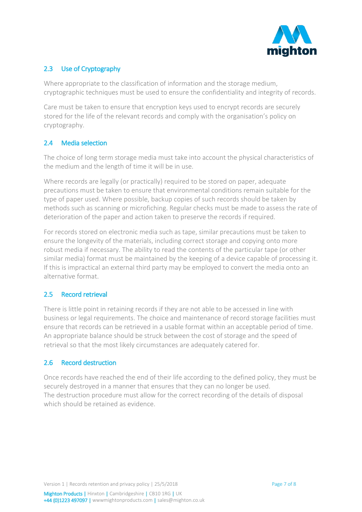

# <span id="page-6-0"></span>2.3 Use of Cryptography

Where appropriate to the classification of information and the storage medium, cryptographic techniques must be used to ensure the confidentiality and integrity of records.

Care must be taken to ensure that encryption keys used to encrypt records are securely stored for the life of the relevant records and comply with the organisation's policy on cryptography.

## <span id="page-6-1"></span>2.4 Media selection

The choice of long term storage media must take into account the physical characteristics of the medium and the length of time it will be in use.

Where records are legally (or practically) required to be stored on paper, adequate precautions must be taken to ensure that environmental conditions remain suitable for the type of paper used. Where possible, backup copies of such records should be taken by methods such as scanning or microfiching. Regular checks must be made to assess the rate of deterioration of the paper and action taken to preserve the records if required.

For records stored on electronic media such as tape, similar precautions must be taken to ensure the longevity of the materials, including correct storage and copying onto more robust media if necessary. The ability to read the contents of the particular tape (or other similar media) format must be maintained by the keeping of a device capable of processing it. If this is impractical an external third party may be employed to convert the media onto an alternative format.

## <span id="page-6-2"></span>2.5 Record retrieval

There is little point in retaining records if they are not able to be accessed in line with business or legal requirements. The choice and maintenance of record storage facilities must ensure that records can be retrieved in a usable format within an acceptable period of time. An appropriate balance should be struck between the cost of storage and the speed of retrieval so that the most likely circumstances are adequately catered for.

## <span id="page-6-3"></span>2.6 Record destruction

Once records have reached the end of their life according to the defined policy, they must be securely destroyed in a manner that ensures that they can no longer be used. The destruction procedure must allow for the correct recording of the details of disposal which should be retained as evidence.